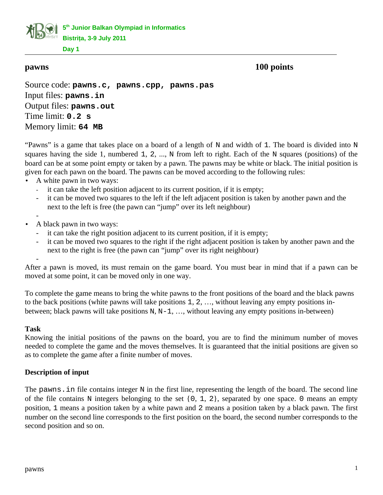**5 th Junior Balkan Olympiad in Informatics Bistriţa, 3-9 July 2011**

**Day 1**

**pawns 100 points**

Source code: **pawns.c, pawns.cpp, pawns.pas** Input files: **pawns.in** Output files: **pawns.out** Time limit: **0.2 s** Memory limit: **64 MB**

"Pawns" is a game that takes place on a board of a length of N and width of 1. The board is divided into N squares having the side 1, numbered 1, 2, ..., N from left to right. Each of the N squares (positions) of the board can be at some point empty or taken by a pawn. The pawns may be white or black. The initial position is given for each pawn on the board. The pawns can be moved according to the following rules:

- A white pawn in two ways:
	- it can take the left position adjacent to its current position, if it is empty;
	- it can be moved two squares to the left if the left adjacent position is taken by another pawn and the next to the left is free (the pawn can "jump" over its left neighbour)
- • A black pawn in two ways:
	- it can take the right position adjacent to its current position, if it is empty;
	- it can be moved two squares to the right if the right adjacent position is taken by another pawn and the next to the right is free (the pawn can "jump" over its right neighbour)

After a pawn is moved, its must remain on the game board. You must bear in mind that if a pawn can be moved at some point, it can be moved only in one way.

To complete the game means to bring the white pawns to the front positions of the board and the black pawns to the back positions (white pawns will take positions 1, 2, …, without leaving any empty positions inbetween; black pawns will take positions N, N-1, ..., without leaving any empty positions in-between)

# **Task**

-

Knowing the initial positions of the pawns on the board, you are to find the minimum number of moves needed to complete the game and the moves themselves. It is guaranteed that the initial positions are given so as to complete the game after a finite number of moves.

# **Description of input**

The pawns. in file contains integer N in the first line, representing the length of the board. The second line of the file contains N integers belonging to the set  $\{0, 1, 2\}$ , separated by one space. 0 means an empty position, 1 means a position taken by a white pawn and 2 means a position taken by a black pawn. The first number on the second line corresponds to the first position on the board, the second number corresponds to the second position and so on.